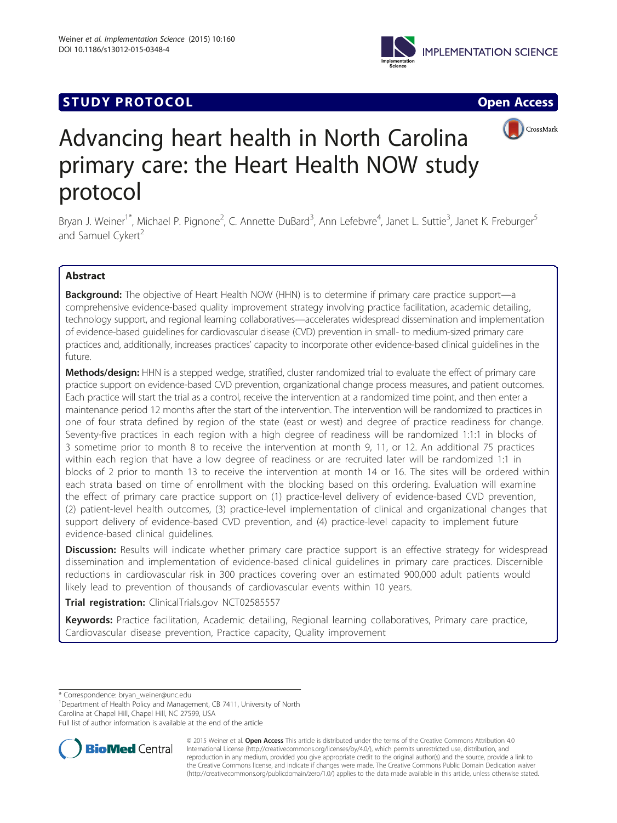## **STUDY PROTOCOL CONSUMING THE CONSUMING OPEN ACCESS**



# Advancing heart health in North Carolina primary care: the Heart Health NOW study protocol

Bryan J. Weiner<sup>1\*</sup>, Michael P. Pignone<sup>2</sup>, C. Annette DuBard<sup>3</sup>, Ann Lefebvre<sup>4</sup>, Janet L. Suttie<sup>3</sup>, Janet K. Freburger<sup>5</sup> and Samuel Cykert<sup>2</sup>

## Abstract

**Background:** The objective of Heart Health NOW (HHN) is to determine if primary care practice support—a comprehensive evidence-based quality improvement strategy involving practice facilitation, academic detailing, technology support, and regional learning collaboratives—accelerates widespread dissemination and implementation of evidence-based guidelines for cardiovascular disease (CVD) prevention in small- to medium-sized primary care practices and, additionally, increases practices' capacity to incorporate other evidence-based clinical guidelines in the future.

Methods/design: HHN is a stepped wedge, stratified, cluster randomized trial to evaluate the effect of primary care practice support on evidence-based CVD prevention, organizational change process measures, and patient outcomes. Each practice will start the trial as a control, receive the intervention at a randomized time point, and then enter a maintenance period 12 months after the start of the intervention. The intervention will be randomized to practices in one of four strata defined by region of the state (east or west) and degree of practice readiness for change. Seventy-five practices in each region with a high degree of readiness will be randomized 1:1:1 in blocks of 3 sometime prior to month 8 to receive the intervention at month 9, 11, or 12. An additional 75 practices within each region that have a low degree of readiness or are recruited later will be randomized 1:1 in blocks of 2 prior to month 13 to receive the intervention at month 14 or 16. The sites will be ordered within each strata based on time of enrollment with the blocking based on this ordering. Evaluation will examine the effect of primary care practice support on (1) practice-level delivery of evidence-based CVD prevention, (2) patient-level health outcomes, (3) practice-level implementation of clinical and organizational changes that support delivery of evidence-based CVD prevention, and (4) practice-level capacity to implement future evidence-based clinical guidelines.

**Discussion:** Results will indicate whether primary care practice support is an effective strategy for widespread dissemination and implementation of evidence-based clinical guidelines in primary care practices. Discernible reductions in cardiovascular risk in 300 practices covering over an estimated 900,000 adult patients would likely lead to prevention of thousands of cardiovascular events within 10 years.

Trial registration: ClinicalTrials.gov [NCT02585557](https://clinicaltrials.gov/ct2/show/NCT02585557?term=NCT02585557&rank=1)

Keywords: Practice facilitation, Academic detailing, Regional learning collaboratives, Primary care practice, Cardiovascular disease prevention, Practice capacity, Quality improvement

\* Correspondence: [bryan\\_weiner@unc.edu](mailto:bryan_weiner@unc.edu) <sup>1</sup>

<sup>1</sup>Department of Health Policy and Management, CB 7411, University of North Carolina at Chapel Hill, Chapel Hill, NC 27599, USA

Full list of author information is available at the end of the article



© 2015 Weiner et al. Open Access This article is distributed under the terms of the Creative Commons Attribution 4.0 International License [\(http://creativecommons.org/licenses/by/4.0/](http://creativecommons.org/licenses/by/4.0/)), which permits unrestricted use, distribution, and reproduction in any medium, provided you give appropriate credit to the original author(s) and the source, provide a link to the Creative Commons license, and indicate if changes were made. The Creative Commons Public Domain Dedication waiver [\(http://creativecommons.org/publicdomain/zero/1.0/](http://creativecommons.org/publicdomain/zero/1.0/)) applies to the data made available in this article, unless otherwise stated.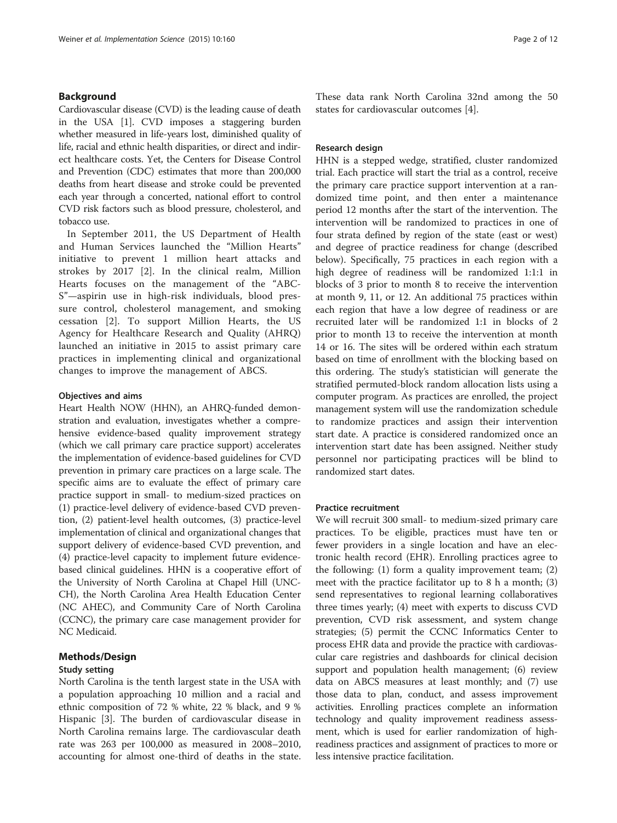## Background

Cardiovascular disease (CVD) is the leading cause of death in the USA [[1](#page-11-0)]. CVD imposes a staggering burden whether measured in life-years lost, diminished quality of life, racial and ethnic health disparities, or direct and indirect healthcare costs. Yet, the Centers for Disease Control and Prevention (CDC) estimates that more than 200,000 deaths from heart disease and stroke could be prevented each year through a concerted, national effort to control CVD risk factors such as blood pressure, cholesterol, and tobacco use.

In September 2011, the US Department of Health and Human Services launched the "Million Hearts" initiative to prevent 1 million heart attacks and strokes by 2017 [[2\]](#page-11-0). In the clinical realm, Million Hearts focuses on the management of the "ABC-S"—aspirin use in high-risk individuals, blood pressure control, cholesterol management, and smoking cessation [\[2](#page-11-0)]. To support Million Hearts, the US Agency for Healthcare Research and Quality (AHRQ) launched an initiative in 2015 to assist primary care practices in implementing clinical and organizational changes to improve the management of ABCS.

## Objectives and aims

Heart Health NOW (HHN), an AHRQ-funded demonstration and evaluation, investigates whether a comprehensive evidence-based quality improvement strategy (which we call primary care practice support) accelerates the implementation of evidence-based guidelines for CVD prevention in primary care practices on a large scale. The specific aims are to evaluate the effect of primary care practice support in small- to medium-sized practices on (1) practice-level delivery of evidence-based CVD prevention, (2) patient-level health outcomes, (3) practice-level implementation of clinical and organizational changes that support delivery of evidence-based CVD prevention, and (4) practice-level capacity to implement future evidencebased clinical guidelines. HHN is a cooperative effort of the University of North Carolina at Chapel Hill (UNC-CH), the North Carolina Area Health Education Center (NC AHEC), and Community Care of North Carolina (CCNC), the primary care case management provider for NC Medicaid.

#### Methods/Design

#### Study setting

North Carolina is the tenth largest state in the USA with a population approaching 10 million and a racial and ethnic composition of 72 % white, 22 % black, and 9 % Hispanic [[3\]](#page-11-0). The burden of cardiovascular disease in North Carolina remains large. The cardiovascular death rate was 263 per 100,000 as measured in 2008–2010, accounting for almost one-third of deaths in the state.

These data rank North Carolina 32nd among the 50 states for cardiovascular outcomes [[4\]](#page-11-0).

#### Research design

HHN is a stepped wedge, stratified, cluster randomized trial. Each practice will start the trial as a control, receive the primary care practice support intervention at a randomized time point, and then enter a maintenance period 12 months after the start of the intervention. The intervention will be randomized to practices in one of four strata defined by region of the state (east or west) and degree of practice readiness for change (described below). Specifically, 75 practices in each region with a high degree of readiness will be randomized 1:1:1 in blocks of 3 prior to month 8 to receive the intervention at month 9, 11, or 12. An additional 75 practices within each region that have a low degree of readiness or are recruited later will be randomized 1:1 in blocks of 2 prior to month 13 to receive the intervention at month 14 or 16. The sites will be ordered within each stratum based on time of enrollment with the blocking based on this ordering. The study's statistician will generate the stratified permuted-block random allocation lists using a computer program. As practices are enrolled, the project management system will use the randomization schedule to randomize practices and assign their intervention start date. A practice is considered randomized once an intervention start date has been assigned. Neither study personnel nor participating practices will be blind to randomized start dates.

#### Practice recruitment

We will recruit 300 small- to medium-sized primary care practices. To be eligible, practices must have ten or fewer providers in a single location and have an electronic health record (EHR). Enrolling practices agree to the following: (1) form a quality improvement team; (2) meet with the practice facilitator up to 8 h a month; (3) send representatives to regional learning collaboratives three times yearly; (4) meet with experts to discuss CVD prevention, CVD risk assessment, and system change strategies; (5) permit the CCNC Informatics Center to process EHR data and provide the practice with cardiovascular care registries and dashboards for clinical decision support and population health management; (6) review data on ABCS measures at least monthly; and (7) use those data to plan, conduct, and assess improvement activities. Enrolling practices complete an information technology and quality improvement readiness assessment, which is used for earlier randomization of highreadiness practices and assignment of practices to more or less intensive practice facilitation.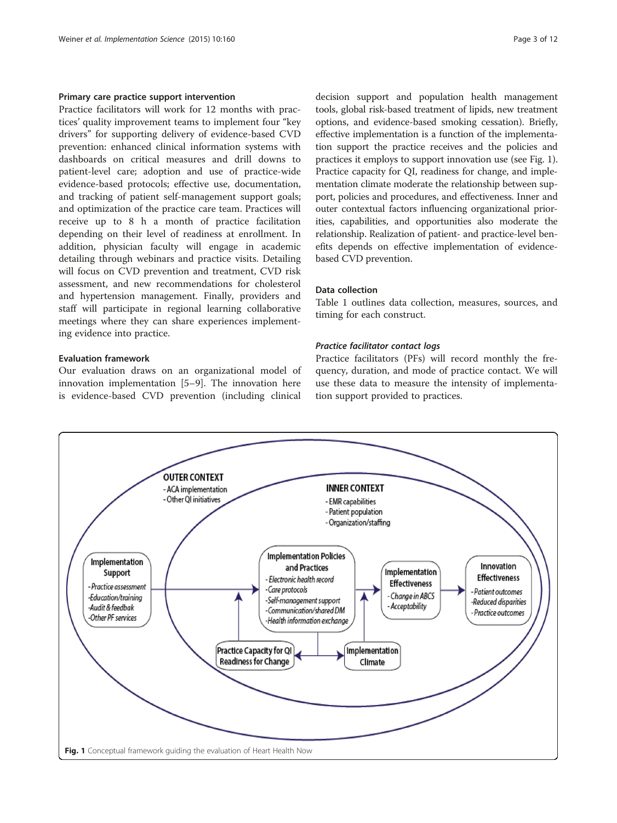#### Primary care practice support intervention

Practice facilitators will work for 12 months with practices' quality improvement teams to implement four "key drivers" for supporting delivery of evidence-based CVD prevention: enhanced clinical information systems with dashboards on critical measures and drill downs to patient-level care; adoption and use of practice-wide evidence-based protocols; effective use, documentation, and tracking of patient self-management support goals; and optimization of the practice care team. Practices will receive up to 8 h a month of practice facilitation depending on their level of readiness at enrollment. In addition, physician faculty will engage in academic detailing through webinars and practice visits. Detailing will focus on CVD prevention and treatment, CVD risk assessment, and new recommendations for cholesterol and hypertension management. Finally, providers and staff will participate in regional learning collaborative meetings where they can share experiences implementing evidence into practice.

## Evaluation framework

Our evaluation draws on an organizational model of innovation implementation [[5](#page-11-0)–[9](#page-11-0)]. The innovation here is evidence-based CVD prevention (including clinical

decision support and population health management tools, global risk-based treatment of lipids, new treatment options, and evidence-based smoking cessation). Briefly, effective implementation is a function of the implementation support the practice receives and the policies and practices it employs to support innovation use (see Fig. 1). Practice capacity for QI, readiness for change, and implementation climate moderate the relationship between support, policies and procedures, and effectiveness. Inner and outer contextual factors influencing organizational priorities, capabilities, and opportunities also moderate the relationship. Realization of patient- and practice-level benefits depends on effective implementation of evidencebased CVD prevention.

## Data collection

Table [1](#page-3-0) outlines data collection, measures, sources, and timing for each construct.

## Practice facilitator contact logs

Practice facilitators (PFs) will record monthly the frequency, duration, and mode of practice contact. We will use these data to measure the intensity of implementation support provided to practices.

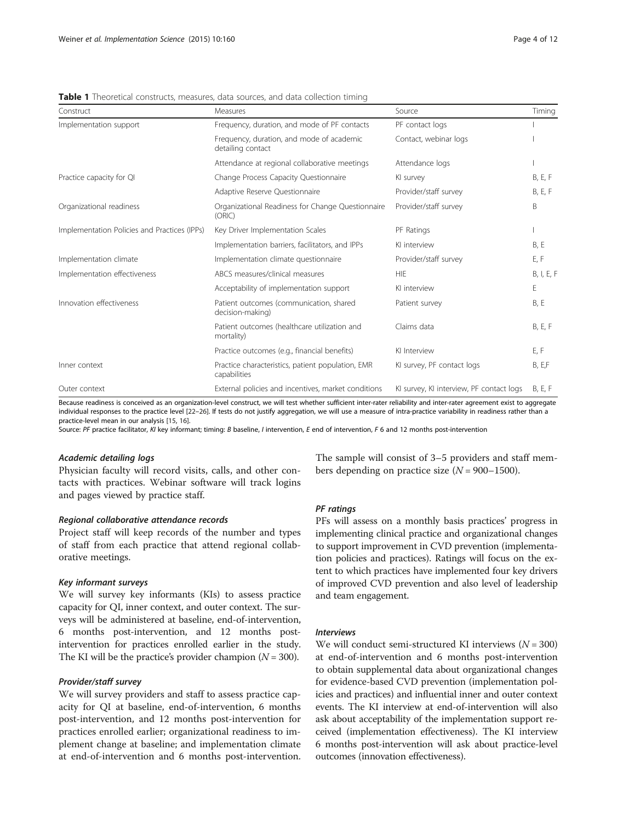| Construct                                    | Measures                                                          | Source                                   | Timing         |
|----------------------------------------------|-------------------------------------------------------------------|------------------------------------------|----------------|
| Implementation support                       | Frequency, duration, and mode of PF contacts                      | PF contact logs                          |                |
|                                              | Frequency, duration, and mode of academic<br>detailing contact    | Contact, webinar logs                    |                |
|                                              | Attendance at regional collaborative meetings                     | Attendance logs                          |                |
| Practice capacity for QI                     | Change Process Capacity Questionnaire                             | KI survey                                | <b>B, E, F</b> |
|                                              | Adaptive Reserve Questionnaire                                    | Provider/staff survey                    | B, E, F        |
| Organizational readiness                     | Organizational Readiness for Change Questionnaire<br>(ORIC)       | Provider/staff survey                    | B              |
| Implementation Policies and Practices (IPPs) | Key Driver Implementation Scales                                  | PF Ratings                               |                |
|                                              | Implementation barriers, facilitators, and IPPs                   | KI interview                             | <b>B, E</b>    |
| Implementation climate                       | Implementation climate questionnaire                              | Provider/staff survey                    | E, F           |
| Implementation effectiveness                 | ABCS measures/clinical measures                                   | <b>HIE</b>                               | B, I, E, F     |
|                                              | Acceptability of implementation support                           | KI interview                             | E              |
| Innovation effectiveness                     | Patient outcomes (communication, shared<br>decision-making)       | Patient survey                           | <b>B, E</b>    |
|                                              | Patient outcomes (healthcare utilization and<br>mortality)        | Claims data                              | B, E, F        |
|                                              | Practice outcomes (e.g., financial benefits)                      | KI Interview                             | E, F           |
| Inner context                                | Practice characteristics, patient population, EMR<br>capabilities | KI survey, PF contact logs               | B, E,F         |
| Outer context                                | External policies and incentives, market conditions               | KI survey, KI interview, PF contact logs | <b>B, E, F</b> |

<span id="page-3-0"></span>**Table 1** Theoretical constructs, measures, data sources, and data collection timing

Because readiness is conceived as an organization-level construct, we will test whether sufficient inter-rater reliability and inter-rater agreement exist to aggregate individual responses to the practice level [[22](#page-11-0)–[26\]](#page-11-0). If tests do not justify aggregation, we will use a measure of intra-practice variability in readiness rather than a practice-level mean in our analysis [[15,](#page-11-0) [16](#page-11-0)].

Source: PF practice facilitator, KI key informant; timing: B baseline, I intervention, E end of intervention, F 6 and 12 months post-intervention

#### Academic detailing logs

Physician faculty will record visits, calls, and other contacts with practices. Webinar software will track logins and pages viewed by practice staff.

#### Regional collaborative attendance records

Project staff will keep records of the number and types of staff from each practice that attend regional collaborative meetings.

#### Key informant surveys

We will survey key informants (KIs) to assess practice capacity for QI, inner context, and outer context. The surveys will be administered at baseline, end-of-intervention, 6 months post-intervention, and 12 months postintervention for practices enrolled earlier in the study. The KI will be the practice's provider champion  $(N = 300)$ .

#### Provider/staff survey

We will survey providers and staff to assess practice capacity for QI at baseline, end-of-intervention, 6 months post-intervention, and 12 months post-intervention for practices enrolled earlier; organizational readiness to implement change at baseline; and implementation climate at end-of-intervention and 6 months post-intervention. The sample will consist of 3–5 providers and staff members depending on practice size  $(N = 900-1500)$ .

#### PF ratings

PFs will assess on a monthly basis practices' progress in implementing clinical practice and organizational changes to support improvement in CVD prevention (implementation policies and practices). Ratings will focus on the extent to which practices have implemented four key drivers of improved CVD prevention and also level of leadership and team engagement.

#### Interviews

We will conduct semi-structured KI interviews  $(N = 300)$ at end-of-intervention and 6 months post-intervention to obtain supplemental data about organizational changes for evidence-based CVD prevention (implementation policies and practices) and influential inner and outer context events. The KI interview at end-of-intervention will also ask about acceptability of the implementation support received (implementation effectiveness). The KI interview 6 months post-intervention will ask about practice-level outcomes (innovation effectiveness).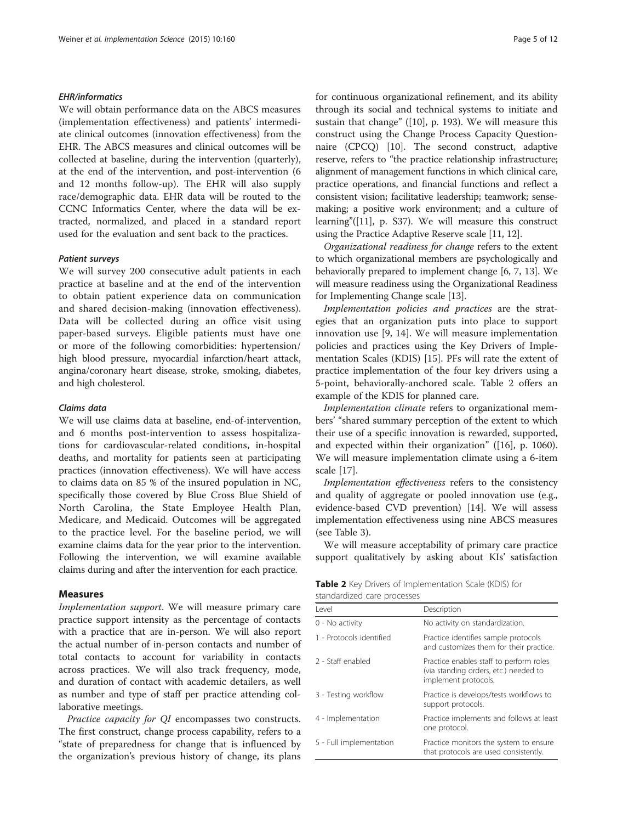#### EHR/informatics

We will obtain performance data on the ABCS measures (implementation effectiveness) and patients' intermediate clinical outcomes (innovation effectiveness) from the EHR. The ABCS measures and clinical outcomes will be collected at baseline, during the intervention (quarterly), at the end of the intervention, and post-intervention (6 and 12 months follow-up). The EHR will also supply race/demographic data. EHR data will be routed to the CCNC Informatics Center, where the data will be extracted, normalized, and placed in a standard report used for the evaluation and sent back to the practices.

#### Patient surveys

We will survey 200 consecutive adult patients in each practice at baseline and at the end of the intervention to obtain patient experience data on communication and shared decision-making (innovation effectiveness). Data will be collected during an office visit using paper-based surveys. Eligible patients must have one or more of the following comorbidities: hypertension/ high blood pressure, myocardial infarction/heart attack, angina/coronary heart disease, stroke, smoking, diabetes, and high cholesterol.

## Claims data

We will use claims data at baseline, end-of-intervention, and 6 months post-intervention to assess hospitalizations for cardiovascular-related conditions, in-hospital deaths, and mortality for patients seen at participating practices (innovation effectiveness). We will have access to claims data on 85 % of the insured population in NC, specifically those covered by Blue Cross Blue Shield of North Carolina, the State Employee Health Plan, Medicare, and Medicaid. Outcomes will be aggregated to the practice level. For the baseline period, we will examine claims data for the year prior to the intervention. Following the intervention, we will examine available claims during and after the intervention for each practice.

## Measures

Implementation support. We will measure primary care practice support intensity as the percentage of contacts with a practice that are in-person. We will also report the actual number of in-person contacts and number of total contacts to account for variability in contacts across practices. We will also track frequency, mode, and duration of contact with academic detailers, as well as number and type of staff per practice attending collaborative meetings.

Practice capacity for QI encompasses two constructs. The first construct, change process capability, refers to a "state of preparedness for change that is influenced by the organization's previous history of change, its plans for continuous organizational refinement, and its ability through its social and technical systems to initiate and sustain that change" ([[10\]](#page-11-0), p. 193). We will measure this construct using the Change Process Capacity Questionnaire (CPCQ) [[10\]](#page-11-0). The second construct, adaptive reserve, refers to "the practice relationship infrastructure; alignment of management functions in which clinical care, practice operations, and financial functions and reflect a consistent vision; facilitative leadership; teamwork; sensemaking; a positive work environment; and a culture of learning"([[11](#page-11-0)], p. S37). We will measure this construct using the Practice Adaptive Reserve scale [\[11, 12](#page-11-0)].

Organizational readiness for change refers to the extent to which organizational members are psychologically and behaviorally prepared to implement change [\[6](#page-11-0), [7](#page-11-0), [13](#page-11-0)]. We will measure readiness using the Organizational Readiness for Implementing Change scale [[13](#page-11-0)].

Implementation policies and practices are the strategies that an organization puts into place to support innovation use [[9, 14](#page-11-0)]. We will measure implementation policies and practices using the Key Drivers of Implementation Scales (KDIS) [[15\]](#page-11-0). PFs will rate the extent of practice implementation of the four key drivers using a 5-point, behaviorally-anchored scale. Table 2 offers an example of the KDIS for planned care.

Implementation climate refers to organizational members' "shared summary perception of the extent to which their use of a specific innovation is rewarded, supported, and expected within their organization" ([[16\]](#page-11-0), p. 1060). We will measure implementation climate using a 6-item scale [\[17](#page-11-0)].

Implementation effectiveness refers to the consistency and quality of aggregate or pooled innovation use (e.g., evidence-based CVD prevention) [\[14](#page-11-0)]. We will assess implementation effectiveness using nine ABCS measures (see Table [3\)](#page-5-0).

We will measure acceptability of primary care practice support qualitatively by asking about KIs' satisfaction

Table 2 Key Drivers of Implementation Scale (KDIS) for standardized care processes

| l evel                   | Description                                                                                              |
|--------------------------|----------------------------------------------------------------------------------------------------------|
| 0 - No activity          | No activity on standardization.                                                                          |
| 1 - Protocols identified | Practice identifies sample protocols<br>and customizes them for their practice.                          |
| 2 - Staff enabled        | Practice enables staff to perform roles<br>(via standing orders, etc.) needed to<br>implement protocols. |
| 3 - Testing workflow     | Practice is develops/tests workflows to<br>support protocols.                                            |
| 4 - Implementation       | Practice implements and follows at least<br>one protocol.                                                |
| 5 - Full implementation  | Practice monitors the system to ensure<br>that protocols are used consistently.                          |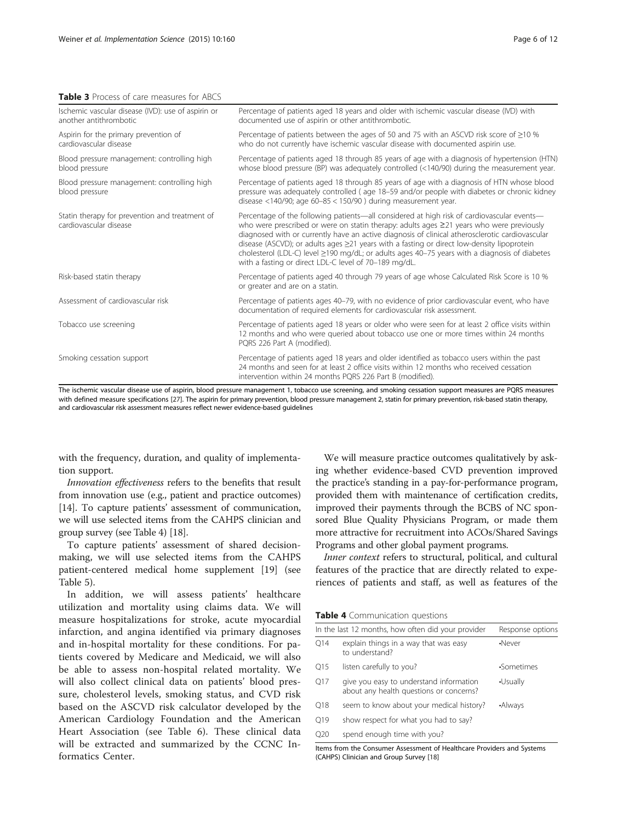#### <span id="page-5-0"></span>Table 3 Process of care measures for ABCS

| Percentage of patients aged 18 years and older with ischemic vascular disease (IVD) with<br>documented use of aspirin or other antithrombotic.                                                                                                                                                                                                                                                                                                                                                                                                                      |
|---------------------------------------------------------------------------------------------------------------------------------------------------------------------------------------------------------------------------------------------------------------------------------------------------------------------------------------------------------------------------------------------------------------------------------------------------------------------------------------------------------------------------------------------------------------------|
| Percentage of patients between the ages of 50 and 75 with an ASCVD risk score of $\geq$ 10 %<br>who do not currently have ischemic vascular disease with documented aspirin use.                                                                                                                                                                                                                                                                                                                                                                                    |
| Percentage of patients aged 18 through 85 years of age with a diagnosis of hypertension (HTN)<br>whose blood pressure (BP) was adequately controlled $\left($ <140/90) during the measurement year.                                                                                                                                                                                                                                                                                                                                                                 |
| Percentage of patients aged 18 through 85 years of age with a diagnosis of HTN whose blood<br>pressure was adequately controlled (age 18-59 and/or people with diabetes or chronic kidney<br>disease <140/90; age $60-85 < 150/90$ ) during measurement year.                                                                                                                                                                                                                                                                                                       |
| Percentage of the following patients—all considered at high risk of cardiovascular events—<br>who were prescribed or were on statin therapy: adults ages $\geq$ 21 years who were previously<br>diagnosed with or currently have an active diagnosis of clinical atherosclerotic cardiovascular<br>disease (ASCVD); or adults ages $\geq$ 21 years with a fasting or direct low-density lipoprotein<br>cholesterol (LDL-C) level $\geq$ 190 mg/dL; or adults ages 40-75 years with a diagnosis of diabetes<br>with a fasting or direct LDL-C level of 70-189 mg/dL. |
| Percentage of patients aged 40 through 79 years of age whose Calculated Risk Score is 10 %<br>or greater and are on a statin.                                                                                                                                                                                                                                                                                                                                                                                                                                       |
| Percentage of patients ages 40-79, with no evidence of prior cardiovascular event, who have<br>documentation of required elements for cardiovascular risk assessment.                                                                                                                                                                                                                                                                                                                                                                                               |
| Percentage of patients aged 18 years or older who were seen for at least 2 office visits within<br>12 months and who were queried about tobacco use one or more times within 24 months<br>PQRS 226 Part A (modified).                                                                                                                                                                                                                                                                                                                                               |
| Percentage of patients aged 18 years and older identified as tobacco users within the past<br>24 months and seen for at least 2 office visits within 12 months who received cessation<br>intervention within 24 months PQRS 226 Part B (modified).                                                                                                                                                                                                                                                                                                                  |
|                                                                                                                                                                                                                                                                                                                                                                                                                                                                                                                                                                     |

The ischemic vascular disease use of aspirin, blood pressure management 1, tobacco use screening, and smoking cessation support measures are PQRS measures with defined measure specifications [[27\]](#page-11-0). The aspirin for primary prevention, blood pressure management 2, statin for primary prevention, risk-based statin therapy, and cardiovascular risk assessment measures reflect newer evidence-based guidelines

with the frequency, duration, and quality of implementation support.

Innovation effectiveness refers to the benefits that result from innovation use (e.g., patient and practice outcomes) [[14](#page-11-0)]. To capture patients' assessment of communication, we will use selected items from the CAHPS clinician and group survey (see Table 4) [[18](#page-11-0)].

To capture patients' assessment of shared decisionmaking, we will use selected items from the CAHPS patient-centered medical home supplement [\[19](#page-11-0)] (see Table [5\)](#page-6-0).

In addition, we will assess patients' healthcare utilization and mortality using claims data. We will measure hospitalizations for stroke, acute myocardial infarction, and angina identified via primary diagnoses and in-hospital mortality for these conditions. For patients covered by Medicare and Medicaid, we will also be able to assess non-hospital related mortality. We will also collect clinical data on patients' blood pressure, cholesterol levels, smoking status, and CVD risk based on the ASCVD risk calculator developed by the American Cardiology Foundation and the American Heart Association (see Table [6](#page-6-0)). These clinical data will be extracted and summarized by the CCNC Informatics Center.

We will measure practice outcomes qualitatively by asking whether evidence-based CVD prevention improved the practice's standing in a pay-for-performance program, provided them with maintenance of certification credits, improved their payments through the BCBS of NC sponsored Blue Quality Physicians Program, or made them more attractive for recruitment into ACOs/Shared Savings Programs and other global payment programs.

Inner context refers to structural, political, and cultural features of the practice that are directly related to experiences of patients and staff, as well as features of the

|  |  | Table 4 Communication questions |  |
|--|--|---------------------------------|--|
|--|--|---------------------------------|--|

| O14<br>O <sub>15</sub> |                                                                                    |                  |
|------------------------|------------------------------------------------------------------------------------|------------------|
|                        | In the last 12 months, how often did your provider                                 | Response options |
|                        | explain things in a way that was easy<br>to understand?                            | •Never           |
|                        | listen carefully to you?                                                           | •Sometimes       |
| O17                    | give you easy to understand information<br>about any health questions or concerns? | •Usually         |
| O <sub>18</sub>        | seem to know about your medical history?                                           | •Always          |
| O19                    | show respect for what you had to say?                                              |                  |
| O20                    | spend enough time with you?                                                        |                  |

Items from the Consumer Assessment of Healthcare Providers and Systems (CAHPS) Clinician and Group Survey [[18](#page-11-0)]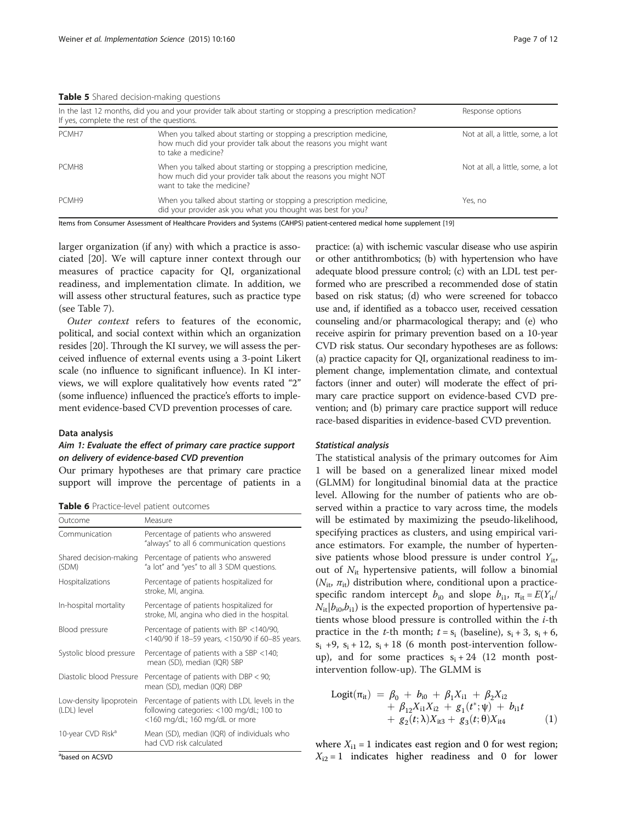<span id="page-6-0"></span>**Table 5** Shared decision-making questions

|                   | In the last 12 months, did you and your provider talk about starting or stopping a prescription medication?<br>If yes, complete the rest of the questions.           | Response options                  |
|-------------------|----------------------------------------------------------------------------------------------------------------------------------------------------------------------|-----------------------------------|
| PCMH7             | When you talked about starting or stopping a prescription medicine,<br>how much did your provider talk about the reasons you might want<br>to take a medicine?       | Not at all, a little, some, a lot |
| PCMH <sub>8</sub> | When you talked about starting or stopping a prescription medicine,<br>how much did your provider talk about the reasons you might NOT<br>want to take the medicine? | Not at all, a little, some, a lot |
| PCMH9             | When you talked about starting or stopping a prescription medicine,<br>did your provider ask you what you thought was best for you?                                  | Yes, no                           |

Items from Consumer Assessment of Healthcare Providers and Systems (CAHPS) patient-centered medical home supplement [[19\]](#page-11-0)

larger organization (if any) with which a practice is associated [\[20\]](#page-11-0). We will capture inner context through our measures of practice capacity for QI, organizational readiness, and implementation climate. In addition, we will assess other structural features, such as practice type (see Table [7\)](#page-7-0).

Outer context refers to features of the economic, political, and social context within which an organization resides [[20](#page-11-0)]. Through the KI survey, we will assess the perceived influence of external events using a 3-point Likert scale (no influence to significant influence). In KI interviews, we will explore qualitatively how events rated "2" (some influence) influenced the practice's efforts to implement evidence-based CVD prevention processes of care.

#### Data analysis

## Aim 1: Evaluate the effect of primary care practice support on delivery of evidence-based CVD prevention

Our primary hypotheses are that primary care practice support will improve the percentage of patients in a

|  | Table 6 Practice-level patient outcomes |  |  |
|--|-----------------------------------------|--|--|
|--|-----------------------------------------|--|--|

| Outcome                                | Measure                                                                                                                    |
|----------------------------------------|----------------------------------------------------------------------------------------------------------------------------|
| Communication                          | Percentage of patients who answered<br>"always" to all 6 communication questions                                           |
| Shared decision-making<br>(SDM)        | Percentage of patients who answered<br>"a lot" and "yes" to all 3 SDM questions.                                           |
| Hospitalizations                       | Percentage of patients hospitalized for<br>stroke, MI, angina.                                                             |
| In-hospital mortality                  | Percentage of patients hospitalized for<br>stroke, MI, angina who died in the hospital.                                    |
| Blood pressure                         | Percentage of patients with BP <140/90,<br><140/90 if 18-59 years, <150/90 if 60-85 years.                                 |
| Systolic blood pressure                | Percentage of patients with a SBP <140;<br>mean (SD), median (IQR) SBP                                                     |
| Diastolic blood Pressure               | Percentage of patients with DBP < 90;<br>mean (SD), median (IQR) DBP                                                       |
| Low-density lipoprotein<br>(LDL) level | Percentage of patients with LDL levels in the<br>following categories: <100 mg/dL; 100 to<br><160 mg/dL; 160 mg/dL or more |
| 10-year CVD Risk <sup>a</sup>          | Mean (SD), median (IQR) of individuals who<br>had CVD risk calculated                                                      |

a based on ACSVD

practice: (a) with ischemic vascular disease who use aspirin or other antithrombotics; (b) with hypertension who have adequate blood pressure control; (c) with an LDL test performed who are prescribed a recommended dose of statin based on risk status; (d) who were screened for tobacco use and, if identified as a tobacco user, received cessation counseling and/or pharmacological therapy; and (e) who receive aspirin for primary prevention based on a 10-year CVD risk status. Our secondary hypotheses are as follows: (a) practice capacity for QI, organizational readiness to implement change, implementation climate, and contextual factors (inner and outer) will moderate the effect of primary care practice support on evidence-based CVD prevention; and (b) primary care practice support will reduce race-based disparities in evidence-based CVD prevention.

#### Statistical analysis

The statistical analysis of the primary outcomes for Aim 1 will be based on a generalized linear mixed model (GLMM) for longitudinal binomial data at the practice level. Allowing for the number of patients who are observed within a practice to vary across time, the models will be estimated by maximizing the pseudo-likelihood, specifying practices as clusters, and using empirical variance estimators. For example, the number of hypertensive patients whose blood pressure is under control  $Y_{it}$ , out of  $N_{it}$  hypertensive patients, will follow a binomial ( $N_{\text{it}}$ ,  $\pi_{\text{it}}$ ) distribution where, conditional upon a practicespecific random intercept  $b_{i0}$  and slope  $b_{i1}$ ,  $\pi_{it} = E(Y_{it})$  $N_{\rm it}|b_{\rm i0}b_{\rm i1}$ ) is the expected proportion of hypertensive patients whose blood pressure is controlled within the  $i$ -th practice in the *t*-th month;  $t = s_i$  (baseline),  $s_i + 3$ ,  $s_i + 6$ ,  $s_i$  +9,  $s_i$  + 12,  $s_i$  + 18 (6 month post-intervention followup), and for some practices  $s_i + 24$  (12 month postintervention follow-up). The GLMM is

Logitð Þ¼ <sup>π</sup>it <sup>β</sup><sup>0</sup> <sup>þ</sup> <sup>b</sup>i0 <sup>þ</sup> <sup>β</sup>1Xi1 <sup>þ</sup> <sup>β</sup>2Xi2 <sup>þ</sup> <sup>β</sup>12Xi1Xi2 <sup>þ</sup> <sup>g</sup><sup>1</sup> <sup>t</sup> ð Þþ ; <sup>ψ</sup> <sup>b</sup>i1<sup>t</sup> <sup>þ</sup> <sup>g</sup><sup>2</sup>ð Þ <sup>t</sup>; <sup>λ</sup> <sup>X</sup>it3 <sup>þ</sup> <sup>g</sup><sup>3</sup>ð Þ <sup>t</sup>; <sup>θ</sup> <sup>X</sup>it4 <sup>ð</sup>1<sup>Þ</sup>

where  $X_{i1} = 1$  indicates east region and 0 for west region;  $X_{i2} = 1$  indicates higher readiness and 0 for lower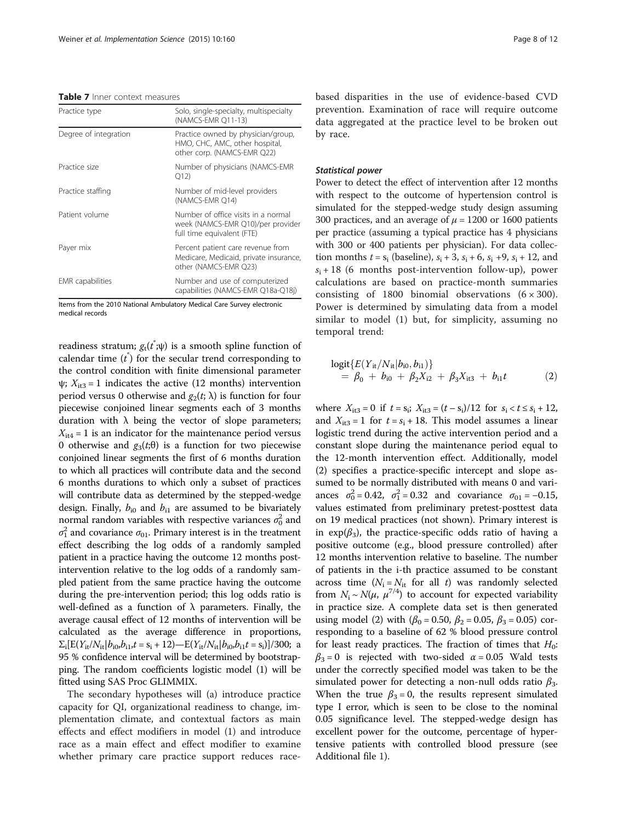#### <span id="page-7-0"></span>Table 7 Inner context measures

| Practice type           | Solo, single-specialty, multispecialty<br>(NAMCS-EMR O11-13)                                           |
|-------------------------|--------------------------------------------------------------------------------------------------------|
| Degree of integration   | Practice owned by physician/group,<br>HMO, CHC, AMC, other hospital,<br>other corp. (NAMCS-EMR Q22)    |
| Practice size           | Number of physicians (NAMCS-EMR<br>Q12                                                                 |
| Practice staffing       | Number of mid-level providers<br>(NAMCS-EMR O14)                                                       |
| Patient volume          | Number of office visits in a normal<br>week (NAMCS-EMR Q10)/per provider<br>full time equivalent (FTE) |
| Payer mix               | Percent patient care revenue from<br>Medicare, Medicaid, private insurance,<br>other (NAMCS-EMR Q23)   |
| <b>EMR</b> capabilities | Number and use of computerized<br>capabilities (NAMCS-EMR Q18a-Q18j)                                   |

Items from the 2010 National Ambulatory Medical Care Survey electronic medical records

readiness stratum;  $g_{\mathrm{t}}(t^{\dagger};\psi)$  is a smooth spline function of calendar time  $(t^*)$  for the secular trend corresponding to the control condition with finite dimensional parameter  $\psi$ ;  $X_{it3} = 1$  indicates the active (12 months) intervention period versus 0 otherwise and  $g_2(t; \lambda)$  is function for four piecewise conjoined linear segments each of 3 months duration with λ being the vector of slope parameters;  $X_{it4} = 1$  is an indicator for the maintenance period versus 0 otherwise and  $g_3(t;θ)$  is a function for two piecewise conjoined linear segments the first of 6 months duration to which all practices will contribute data and the second 6 months durations to which only a subset of practices will contribute data as determined by the stepped-wedge design. Finally,  $b_{i0}$  and  $b_{i1}$  are assumed to be bivariately normal random variables with respective variances  $\sigma_0^2$  and  $\sigma_1^2$  and covariance  $\sigma_{01}$ . Primary interest is in the treatment effect describing the log odds of a randomly sampled patient in a practice having the outcome 12 months postintervention relative to the log odds of a randomly sampled patient from the same practice having the outcome during the pre-intervention period; this log odds ratio is well-defined as a function of  $\lambda$  parameters. Finally, the average causal effect of 12 months of intervention will be calculated as the average difference in proportions,  $\Sigma_i$ [E(Y<sub>it</sub>/N<sub>it</sub>| $b_{i0}$ , $b_{i1}$ , $t = s_i + 12$ )—E(Y<sub>it</sub>/N<sub>it</sub>| $b_{i0}$ , $b_{i1}$  $t = s_i$ )]/300; a 95 % confidence interval will be determined by bootstrapping. The random coefficients logistic model (1) will be fitted using SAS Proc GLIMMIX.

The secondary hypotheses will (a) introduce practice capacity for QI, organizational readiness to change, implementation climate, and contextual factors as main effects and effect modifiers in model (1) and introduce race as a main effect and effect modifier to examine whether primary care practice support reduces racebased disparities in the use of evidence-based CVD prevention. Examination of race will require outcome data aggregated at the practice level to be broken out by race.

#### Statistical power

Power to detect the effect of intervention after 12 months with respect to the outcome of hypertension control is simulated for the stepped-wedge study design assuming 300 practices, and an average of  $\mu$  = 1200 or 1600 patients per practice (assuming a typical practice has 4 physicians with 300 or 400 patients per physician). For data collection months  $t = s_i$  (baseline),  $s_i + 3$ ,  $s_i + 6$ ,  $s_i + 9$ ,  $s_i + 12$ , and  $s_i + 18$  (6 months post-intervention follow-up), power calculations are based on practice-month summaries consisting of 1800 binomial observations  $(6 \times 300)$ . Power is determined by simulating data from a model similar to model (1) but, for simplicity, assuming no temporal trend:

$$
\begin{aligned} \text{logit}\{E(Y_{it}/N_{it}|b_{i0},b_{i1})\} \\ &= \beta_0 + b_{i0} + \beta_2 X_{i2} + \beta_3 X_{it3} + b_{i1}t \end{aligned} \tag{2}
$$

where  $X_{it3} = 0$  if  $t = s_i$ ;  $X_{it3} = (t - s_i)/12$  for  $s_i < t \le s_i + 12$ , and  $X_{it3} = 1$  for  $t = s_i + 18$ . This model assumes a linear logistic trend during the active intervention period and a constant slope during the maintenance period equal to the 12-month intervention effect. Additionally, model (2) specifies a practice-specific intercept and slope assumed to be normally distributed with means 0 and variances  $\sigma_0^2 = 0.42$ ,  $\sigma_1^2 = 0.32$  and covariance  $\sigma_{01} = -0.15$ , values estimated from preliminary pretest-posttest data on 19 medical practices (not shown). Primary interest is in  $exp(\beta_3)$ , the practice-specific odds ratio of having a positive outcome (e.g., blood pressure controlled) after 12 months intervention relative to baseline. The number of patients in the i-th practice assumed to be constant across time  $(N_i = N_{it}$  for all t) was randomly selected from  $N_i \sim N(\mu, \mu^{7/4})$  to account for expected variability in practice size. A complete data set is then generated using model (2) with ( $\beta_0 = 0.50$ ,  $\beta_2 = 0.05$ ,  $\beta_3 = 0.05$ ) corresponding to a baseline of 62 % blood pressure control for least ready practices. The fraction of times that  $H_0$ :  $\beta_3 = 0$  is rejected with two-sided  $\alpha = 0.05$  Wald tests under the correctly specified model was taken to be the simulated power for detecting a non-null odds ratio  $\beta_3$ . When the true  $\beta_3 = 0$ , the results represent simulated type I error, which is seen to be close to the nominal 0.05 significance level. The stepped-wedge design has excellent power for the outcome, percentage of hypertensive patients with controlled blood pressure (see Additional file [1](#page-10-0)).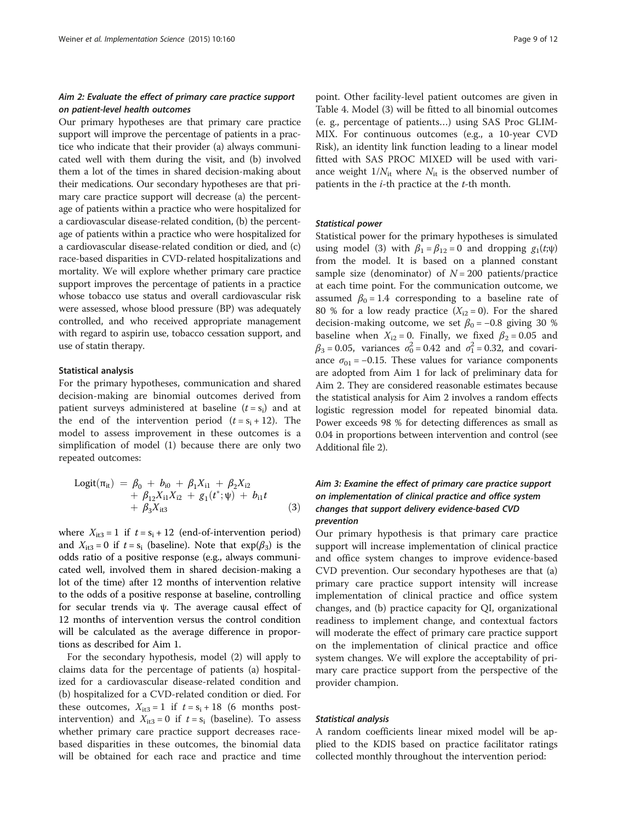## Aim 2: Evaluate the effect of primary care practice support on patient-level health outcomes

Our primary hypotheses are that primary care practice support will improve the percentage of patients in a practice who indicate that their provider (a) always communicated well with them during the visit, and (b) involved them a lot of the times in shared decision-making about their medications. Our secondary hypotheses are that primary care practice support will decrease (a) the percentage of patients within a practice who were hospitalized for a cardiovascular disease-related condition, (b) the percentage of patients within a practice who were hospitalized for a cardiovascular disease-related condition or died, and (c) race-based disparities in CVD-related hospitalizations and mortality. We will explore whether primary care practice support improves the percentage of patients in a practice whose tobacco use status and overall cardiovascular risk were assessed, whose blood pressure (BP) was adequately controlled, and who received appropriate management with regard to aspirin use, tobacco cessation support, and use of statin therapy.

#### Statistical analysis

For the primary hypotheses, communication and shared decision-making are binomial outcomes derived from patient surveys administered at baseline  $(t = s_i)$  and at the end of the intervention period  $(t = s_i + 12)$ . The model to assess improvement in these outcomes is a simplification of model (1) because there are only two repeated outcomes:

Logitð Þ¼ <sup>π</sup>it <sup>β</sup><sup>0</sup> <sup>þ</sup> <sup>b</sup>i0 <sup>þ</sup> <sup>β</sup>1Xi1 <sup>þ</sup> <sup>β</sup>2Xi2 <sup>þ</sup> <sup>β</sup>12Xi1Xi2 <sup>þ</sup> <sup>g</sup><sup>1</sup> <sup>t</sup> ð Þþ ; <sup>ψ</sup> <sup>b</sup>i1<sup>t</sup> <sup>þ</sup> <sup>β</sup>3Xit3 <sup>ð</sup>3<sup>Þ</sup>

where  $X_{it3} = 1$  if  $t = s_i + 12$  (end-of-intervention period) and  $X_{it3} = 0$  if  $t = s_i$  (baseline). Note that  $exp(\beta_3)$  is the odds ratio of a positive response (e.g., always communicated well, involved them in shared decision-making a lot of the time) after 12 months of intervention relative to the odds of a positive response at baseline, controlling for secular trends via ψ. The average causal effect of 12 months of intervention versus the control condition will be calculated as the average difference in proportions as described for Aim 1.

For the secondary hypothesis, model (2) will apply to claims data for the percentage of patients (a) hospitalized for a cardiovascular disease-related condition and (b) hospitalized for a CVD-related condition or died. For these outcomes,  $X_{it3} = 1$  if  $t = s_i + 18$  (6 months postintervention) and  $X_{it3} = 0$  if  $t = s_i$  (baseline). To assess whether primary care practice support decreases racebased disparities in these outcomes, the binomial data will be obtained for each race and practice and time point. Other facility-level patient outcomes are given in Table [4.](#page-5-0) Model (3) will be fitted to all binomial outcomes (e. g., percentage of patients…) using SAS Proc GLIM-MIX. For continuous outcomes (e.g., a 10-year CVD Risk), an identity link function leading to a linear model fitted with SAS PROC MIXED will be used with variance weight  $1/N_{\text{it}}$  where  $N_{\text{it}}$  is the observed number of patients in the  $i$ -th practice at the  $t$ -th month.

#### Statistical power

Statistical power for the primary hypotheses is simulated using model (3) with  $\beta_1 = \beta_{12} = 0$  and dropping  $g_1(t;\psi)$ from the model. It is based on a planned constant sample size (denominator) of  $N = 200$  patients/practice at each time point. For the communication outcome, we assumed  $\beta_0 = 1.4$  corresponding to a baseline rate of 80 % for a low ready practice  $(X_{i2} = 0)$ . For the shared decision-making outcome, we set  $\beta_0 = -0.8$  giving 30 % baseline when  $X_{i2} = 0$ . Finally, we fixed  $\beta_2 = 0.05$  and  $\beta_3 = 0.05$ , variances  $\sigma_0^2 = 0.42$  and  $\sigma_1^2 = 0.32$ , and covariance  $\sigma_{01}$  = −0.15. These values for variance components are adopted from Aim 1 for lack of preliminary data for Aim 2. They are considered reasonable estimates because the statistical analysis for Aim 2 involves a random effects logistic regression model for repeated binomial data. Power exceeds 98 % for detecting differences as small as 0.04 in proportions between intervention and control (see Additional file [2](#page-10-0)).

## Aim 3: Examine the effect of primary care practice support on implementation of clinical practice and office system changes that support delivery evidence-based CVD prevention

Our primary hypothesis is that primary care practice support will increase implementation of clinical practice and office system changes to improve evidence-based CVD prevention. Our secondary hypotheses are that (a) primary care practice support intensity will increase implementation of clinical practice and office system changes, and (b) practice capacity for QI, organizational readiness to implement change, and contextual factors will moderate the effect of primary care practice support on the implementation of clinical practice and office system changes. We will explore the acceptability of primary care practice support from the perspective of the provider champion.

#### Statistical analysis

A random coefficients linear mixed model will be applied to the KDIS based on practice facilitator ratings collected monthly throughout the intervention period: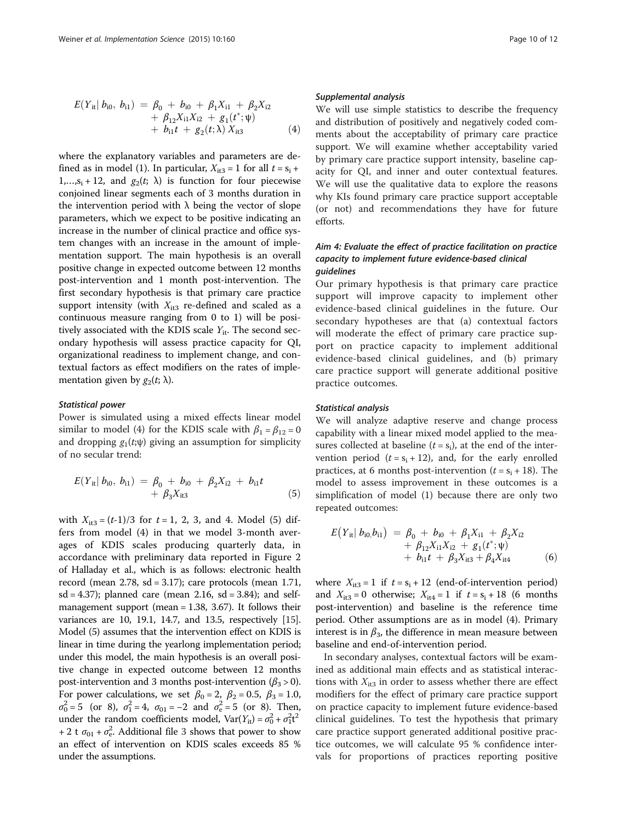$$
E(Y_{it}| b_{i0}, b_{i1}) = \beta_0 + b_{i0} + \beta_1 X_{i1} + \beta_2 X_{i2} + \beta_{12} X_{i1} X_{i2} + g_1(t^*; \psi) + b_{i1} t + g_2(t; \lambda) X_{i13}
$$
 (4)

where the explanatory variables and parameters are defined as in model (1). In particular,  $X_{it3} = 1$  for all  $t = s_i +$  $1,...,s_i + 12$ , and  $g_2(t; \lambda)$  is function for four piecewise conjoined linear segments each of 3 months duration in the intervention period with  $\lambda$  being the vector of slope parameters, which we expect to be positive indicating an increase in the number of clinical practice and office system changes with an increase in the amount of implementation support. The main hypothesis is an overall positive change in expected outcome between 12 months post-intervention and 1 month post-intervention. The first secondary hypothesis is that primary care practice support intensity (with  $X_{it3}$  re-defined and scaled as a continuous measure ranging from 0 to 1) will be positively associated with the KDIS scale  $Y_{it}$ . The second secondary hypothesis will assess practice capacity for QI, organizational readiness to implement change, and contextual factors as effect modifiers on the rates of implementation given by  $g_2(t; \lambda)$ .

#### Statistical power

Power is simulated using a mixed effects linear model similar to model (4) for the KDIS scale with  $\beta_1 = \beta_{12} = 0$ and dropping  $g_1(t;\psi)$  giving an assumption for simplicity of no secular trend:

$$
E(Y_{it}| b_{i0}, b_{i1}) = \beta_0 + b_{i0} + \beta_2 X_{i2} + b_{i1} t + \beta_3 X_{i13}
$$
 (5)

with  $X_{it3} = (t-1)/3$  for  $t = 1, 2, 3$ , and 4. Model (5) differs from model (4) in that we model 3-month averages of KDIS scales producing quarterly data, in accordance with preliminary data reported in Figure 2 of Halladay et al., which is as follows: electronic health record (mean  $2.78$ , sd = 3.17); care protocols (mean 1.71,  $sd = 4.37$ ); planned care (mean 2.16,  $sd = 3.84$ ); and selfmanagement support (mean = 1.38, 3.67). It follows their variances are 10, 19.1, 14.7, and 13.5, respectively [[15](#page-11-0)]. Model (5) assumes that the intervention effect on KDIS is linear in time during the yearlong implementation period; under this model, the main hypothesis is an overall positive change in expected outcome between 12 months post-intervention and 3 months post-intervention ( $\beta_3$  > 0). For power calculations, we set  $\beta_0 = 2$ ,  $\beta_2 = 0.5$ ,  $\beta_3 = 1.0$ ,  $\sigma_0^2 = 5$  (or 8),  $\sigma_1^2 = 4$ ,  $\sigma_{01} = -2$  and  $\sigma_e^2 = 5$  (or 8). Then, under the random coefficients model,  $Var(Y_{it}) = \sigma_0^2 + \sigma_1^2 t^2$ + 2 t  $\sigma_{01}$  +  $\sigma_{e}^2$ . Additional file [3](#page-10-0) shows that power to show an effect of intervention on KDIS scales exceeds 85 % under the assumptions.

We will use simple statistics to describe the frequency and distribution of positively and negatively coded comments about the acceptability of primary care practice support. We will examine whether acceptability varied by primary care practice support intensity, baseline capacity for QI, and inner and outer contextual features. We will use the qualitative data to explore the reasons why KIs found primary care practice support acceptable (or not) and recommendations they have for future efforts.

## Aim 4: Evaluate the effect of practice facilitation on practice capacity to implement future evidence-based clinical guidelines

Our primary hypothesis is that primary care practice support will improve capacity to implement other evidence-based clinical guidelines in the future. Our secondary hypotheses are that (a) contextual factors will moderate the effect of primary care practice support on practice capacity to implement additional evidence-based clinical guidelines, and (b) primary care practice support will generate additional positive practice outcomes.

#### Statistical analysis

We will analyze adaptive reserve and change process capability with a linear mixed model applied to the measures collected at baseline  $(t = s_i)$ , at the end of the intervention period  $(t = s_i + 12)$ , and, for the early enrolled practices, at 6 months post-intervention  $(t = s_i + 18)$ . The model to assess improvement in these outcomes is a simplification of model (1) because there are only two repeated outcomes:

$$
E(Y_{it}| b_{i0}, b_{i1}) = \beta_0 + b_{i0} + \beta_1 X_{i1} + \beta_2 X_{i2} + \beta_{12} X_{i1} X_{i2} + g_1(t^*; \psi) + b_{i1}t + \beta_3 X_{it3} + \beta_4 X_{it4}
$$
 (6)

where  $X_{it3} = 1$  if  $t = s_i + 12$  (end-of-intervention period) and  $X_{it3} = 0$  otherwise;  $X_{it4} = 1$  if  $t = s_i + 18$  (6 months post-intervention) and baseline is the reference time period. Other assumptions are as in model (4). Primary interest is in  $\beta_3$ , the difference in mean measure between baseline and end-of-intervention period.

In secondary analyses, contextual factors will be examined as additional main effects and as statistical interactions with  $X_{it3}$  in order to assess whether there are effect modifiers for the effect of primary care practice support on practice capacity to implement future evidence-based clinical guidelines. To test the hypothesis that primary care practice support generated additional positive practice outcomes, we will calculate 95 % confidence intervals for proportions of practices reporting positive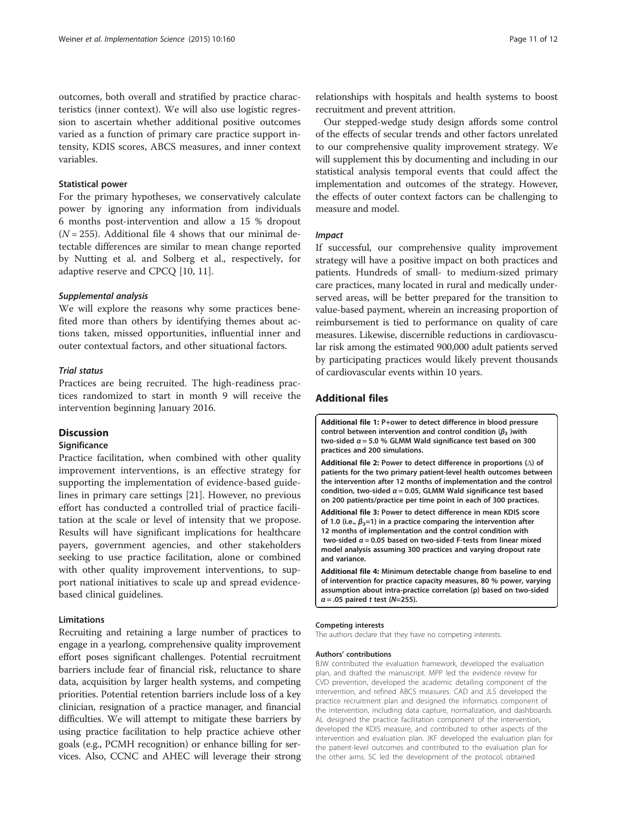<span id="page-10-0"></span>outcomes, both overall and stratified by practice characteristics (inner context). We will also use logistic regression to ascertain whether additional positive outcomes varied as a function of primary care practice support intensity, KDIS scores, ABCS measures, and inner context variables.

#### Statistical power

For the primary hypotheses, we conservatively calculate power by ignoring any information from individuals 6 months post-intervention and allow a 15 % dropout  $(N = 255)$ . Additional file 4 shows that our minimal detectable differences are similar to mean change reported by Nutting et al. and Solberg et al., respectively, for adaptive reserve and CPCQ [\[10](#page-11-0), [11\]](#page-11-0).

#### Supplemental analysis

We will explore the reasons why some practices benefited more than others by identifying themes about actions taken, missed opportunities, influential inner and outer contextual factors, and other situational factors.

#### Trial status

Practices are being recruited. The high-readiness practices randomized to start in month 9 will receive the intervention beginning January 2016.

## **Discussion**

## **Significance**

Practice facilitation, when combined with other quality improvement interventions, is an effective strategy for supporting the implementation of evidence-based guidelines in primary care settings [[21](#page-11-0)]. However, no previous effort has conducted a controlled trial of practice facilitation at the scale or level of intensity that we propose. Results will have significant implications for healthcare payers, government agencies, and other stakeholders seeking to use practice facilitation, alone or combined with other quality improvement interventions, to support national initiatives to scale up and spread evidencebased clinical guidelines.

## Limitations

Recruiting and retaining a large number of practices to engage in a yearlong, comprehensive quality improvement effort poses significant challenges. Potential recruitment barriers include fear of financial risk, reluctance to share data, acquisition by larger health systems, and competing priorities. Potential retention barriers include loss of a key clinician, resignation of a practice manager, and financial difficulties. We will attempt to mitigate these barriers by using practice facilitation to help practice achieve other goals (e.g., PCMH recognition) or enhance billing for services. Also, CCNC and AHEC will leverage their strong

relationships with hospitals and health systems to boost recruitment and prevent attrition.

Our stepped-wedge study design affords some control of the effects of secular trends and other factors unrelated to our comprehensive quality improvement strategy. We will supplement this by documenting and including in our statistical analysis temporal events that could affect the implementation and outcomes of the strategy. However, the effects of outer context factors can be challenging to measure and model.

#### Impact

If successful, our comprehensive quality improvement strategy will have a positive impact on both practices and patients. Hundreds of small- to medium-sized primary care practices, many located in rural and medically underserved areas, will be better prepared for the transition to value-based payment, wherein an increasing proportion of reimbursement is tied to performance on quality of care measures. Likewise, discernible reductions in cardiovascular risk among the estimated 900,000 adult patients served by participating practices would likely prevent thousands of cardiovascular events within 10 years.

## Additional files

[Additional file 1:](dx.doi.org/10.1186/s13012-015-0348-4) P+ower to detect difference in blood pressure control between intervention and control condition ( $β_3$ )with two-sided  $\alpha$  = 5.0 % GLMM Wald significance test based on 300 practices and 200 simulations.

[Additional file 2:](dx.doi.org/10.1186/s13012-015-0348-4) Power to detect difference in proportions (Δ) of patients for the two primary patient-level health outcomes between the intervention after 12 months of implementation and the control condition, two-sided  $\alpha$  = 0.05, GLMM Wald significance test based on 200 patients/practice per time point in each of 300 practices.

[Additional file 3:](dx.doi.org/10.1186/s13012-015-0348-4) Power to detect difference in mean KDIS score of 1.0 (i.e.,  $\beta_3=1$ ) in a practice comparing the intervention after 12 months of implementation and the control condition with two-sided  $\alpha$  = 0.05 based on two-sided F-tests from linear mixed model analysis assuming 300 practices and varying dropout rate and variance.

[Additional file 4:](dx.doi.org/10.1186/s13012-015-0348-4) Minimum detectable change from baseline to end of intervention for practice capacity measures, 80 % power, varying assumption about intra-practice correlation (ρ) based on two-sided  $\alpha$  = .05 paired t test (N=255).

#### Competing interests

The authors declare that they have no competing interests.

#### Authors' contributions

BJW contributed the evaluation framework, developed the evaluation plan, and drafted the manuscript. MPP led the evidence review for CVD prevention, developed the academic detailing component of the intervention, and refined ABCS measures. CAD and JLS developed the practice recruitment plan and designed the informatics component of the intervention, including data capture, normalization, and dashboards. AL designed the practice facilitation component of the intervention, developed the KDIS measure, and contributed to other aspects of the intervention and evaluation plan. JKF developed the evaluation plan for the patient-level outcomes and contributed to the evaluation plan for the other aims. SC led the development of the protocol, obtained